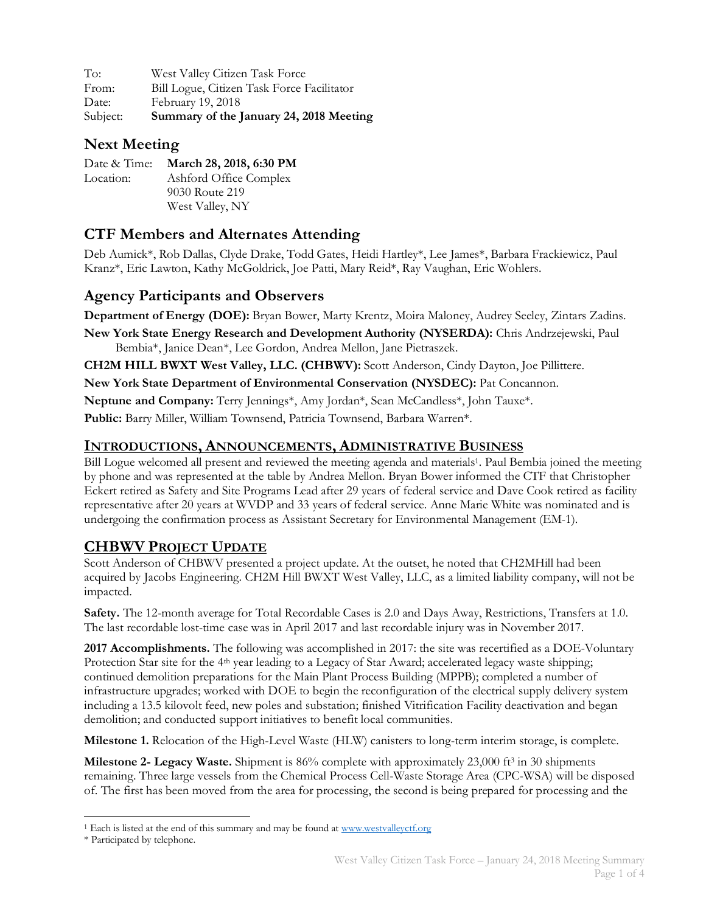To: West Valley Citizen Task Force From: Bill Logue, Citizen Task Force Facilitator Date: February 19, 2018 Subject: **Summary of the January 24, 2018 Meeting**

#### **Next Meeting**

| Date & Time: | March 28, 2018, 6:30 PM |
|--------------|-------------------------|
| Location:    | Ashford Office Complex  |
|              | 9030 Route 219          |
|              | West Valley, NY         |

## **CTF Members and Alternates Attending**

Deb Aumick\*, Rob Dallas, Clyde Drake, Todd Gates, Heidi Hartley\*, Lee James\*, Barbara Frackiewicz, Paul Kranz\*, Eric Lawton, Kathy McGoldrick, Joe Patti, Mary Reid\*, Ray Vaughan, Eric Wohlers.

#### **Agency Participants and Observers**

**Department of Energy (DOE):** Bryan Bower, Marty Krentz, Moira Maloney, Audrey Seeley, Zintars Zadins.

**New York State Energy Research and Development Authority (NYSERDA):** Chris Andrzejewski, Paul Bembia\*, Janice Dean\*, Lee Gordon, Andrea Mellon, Jane Pietraszek.

**CH2M HILL BWXT West Valley, LLC. (CHBWV):** Scott Anderson, Cindy Dayton, Joe Pillittere.

**New York State Department of Environmental Conservation (NYSDEC):** Pat Concannon.

**Neptune and Company:** Terry Jennings\*, Amy Jordan\*, Sean McCandless\*, John Tauxe\*.

**Public:** Barry Miller, William Townsend, Patricia Townsend, Barbara Warren\*.

#### **INTRODUCTIONS, ANNOUNCEMENTS, ADMINISTRATIVE BUSINESS**

Bill Logue welcomed all present and reviewed the meeting agenda and materials<sup>1</sup>. Paul Bembia joined the meeting by phone and was represented at the table by Andrea Mellon. Bryan Bower informed the CTF that Christopher Eckert retired as Safety and Site Programs Lead after 29 years of federal service and Dave Cook retired as facility representative after 20 years at WVDP and 33 years of federal service. Anne Marie White was nominated and is undergoing the confirmation process as Assistant Secretary for Environmental Management (EM-1).

#### **CHBWV PROJECT UPDATE**

Scott Anderson of CHBWV presented a project update. At the outset, he noted that CH2MHill had been acquired by Jacobs Engineering. CH2M Hill BWXT West Valley, LLC, as a limited liability company, will not be impacted.

**Safety.** The 12-month average for Total Recordable Cases is 2.0 and Days Away, Restrictions, Transfers at 1.0. The last recordable lost-time case was in April 2017 and last recordable injury was in November 2017.

**2017 Accomplishments.** The following was accomplished in 2017: the site was recertified as a DOE-Voluntary Protection Star site for the 4<sup>th</sup> year leading to a Legacy of Star Award; accelerated legacy waste shipping; continued demolition preparations for the Main Plant Process Building (MPPB); completed a number of infrastructure upgrades; worked with DOE to begin the reconfiguration of the electrical supply delivery system including a 13.5 kilovolt feed, new poles and substation; finished Vitrification Facility deactivation and began demolition; and conducted support initiatives to benefit local communities.

**Milestone 1.** Relocation of the High-Level Waste (HLW) canisters to long-term interim storage, is complete.

**Milestone 2- Legacy Waste.** Shipment is 86% complete with approximately 23,000 ft<sup>3</sup> in 30 shipments remaining. Three large vessels from the Chemical Process Cell-Waste Storage Area (CPC-WSA) will be disposed of. The first has been moved from the area for processing, the second is being prepared for processing and the

<sup>&</sup>lt;sup>1</sup> Each is listed at the end of this summary and may be found at www.westvalleyctf.org

<sup>\*</sup> Participated by telephone.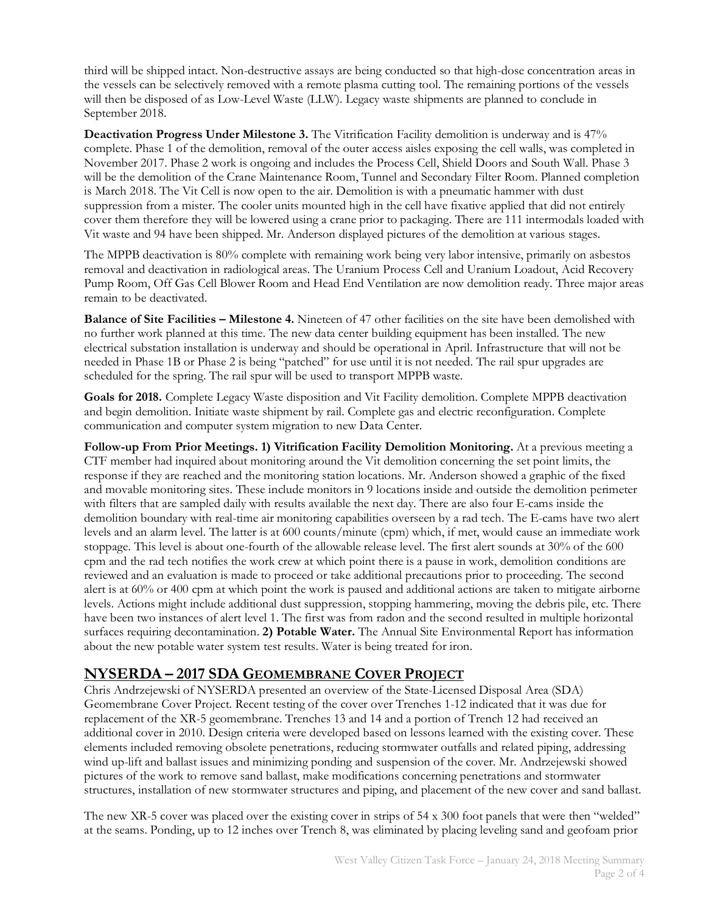third will be shipped intact. Non-destructive assays are being conducted so that high-dose concentration areas in the vessels can be selectively removed with a remote plasma cutting tool. The remaining portions of the vessels will then be disposed of as Low-Level Waste (LLW). Legacy waste shipments are planned to conclude in September 2018.

**Deactivation Progress Under Milestone 3.** The Vitrification Facility demolition is underway and is 47% complete. Phase 1 of the demolition, removal of the outer access aisles exposing the cell walls, was completed in November 2017. Phase 2 work is ongoing and includes the Process Cell, Shield Doors and South Wall. Phase 3 will be the demolition of the Crane Maintenance Room, Tunnel and Secondary Filter Room. Planned completion is March 2018. The Vit Cell is now open to the air. Demolition is with a pneumatic hammer with dust suppression from a mister. The cooler units mounted high in the cell have fixative applied that did not entirely cover them therefore they will be lowered using a crane prior to packaging. There are 111 intermodals loaded with Vit waste and 94 have been shipped. Mr. Anderson displayed pictures of the demolition at various stages.

The MPPB deactivation is 80% complete with remaining work being very labor intensive, primarily on asbestos removal and deactivation in radiological areas. The Uranium Process Cell and Uranium Loadout, Acid Recovery Pump Room, Off Gas Cell Blower Room and Head End Ventilation are now demolition ready. Three major areas remain to be deactivated.

**Balance of Site Facilities – Milestone 4.** Nineteen of 47 other facilities on the site have been demolished with no further work planned at this time. The new data center building equipment has been installed. The new electrical substation installation is underway and should be operational in April. Infrastructure that will not be needed in Phase 1B or Phase 2 is being "patched" for use until it is not needed. The rail spur upgrades are scheduled for the spring. The rail spur will be used to transport MPPB waste.

**Goals for 2018.** Complete Legacy Waste disposition and Vit Facility demolition. Complete MPPB deactivation and begin demolition. Initiate waste shipment by rail. Complete gas and electric reconfiguration. Complete communication and computer system migration to new Data Center.

**Follow-up From Prior Meetings. 1) Vitrification Facility Demolition Monitoring.** At a previous meeting a CTF member had inquired about monitoring around the Vit demolition concerning the set point limits, the response if they are reached and the monitoring station locations. Mr. Anderson showed a graphic of the fixed and movable monitoring sites. These include monitors in 9 locations inside and outside the demolition perimeter with filters that are sampled daily with results available the next day. There are also four E-cams inside the demolition boundary with real-time air monitoring capabilities overseen by a rad tech. The E-cams have two alert levels and an alarm level. The latter is at 600 counts/minute (cpm) which, if met, would cause an immediate work stoppage. This level is about one-fourth of the allowable release level. The first alert sounds at 30% of the 600 cpm and the rad tech notifies the work crew at which point there is a pause in work, demolition conditions are reviewed and an evaluation is made to proceed or take additional precautions prior to proceeding. The second alert is at 60% or 400 cpm at which point the work is paused and additional actions are taken to mitigate airborne levels. Actions might include additional dust suppression, stopping hammering, moving the debris pile, etc. There have been two instances of alert level 1. The first was from radon and the second resulted in multiple horizontal surfaces requiring decontamination. **2) Potable Water.** The Annual Site Environmental Report has information about the new potable water system test results. Water is being treated for iron.

## **NYSERDA – 2017 SDA GEOMEMBRANE COVER PROJECT**

Chris Andrzejewski of NYSERDA presented an overview of the State-Licensed Disposal Area (SDA) Geomembrane Cover Project. Recent testing of the cover over Trenches 1-12 indicated that it was due for replacement of the XR-5 geomembrane. Trenches 13 and 14 and a portion of Trench 12 had received an additional cover in 2010. Design criteria were developed based on lessons learned with the existing cover. These elements included removing obsolete penetrations, reducing stormwater outfalls and related piping, addressing wind up-lift and ballast issues and minimizing ponding and suspension of the cover. Mr. Andrzejewski showed pictures of the work to remove sand ballast, make modifications concerning penetrations and stormwater structures, installation of new stormwater structures and piping, and placement of the new cover and sand ballast.

The new XR-5 cover was placed over the existing cover in strips of 54 x 300 foot panels that were then "welded" at the seams. Ponding, up to 12 inches over Trench 8, was eliminated by placing leveling sand and geofoam prior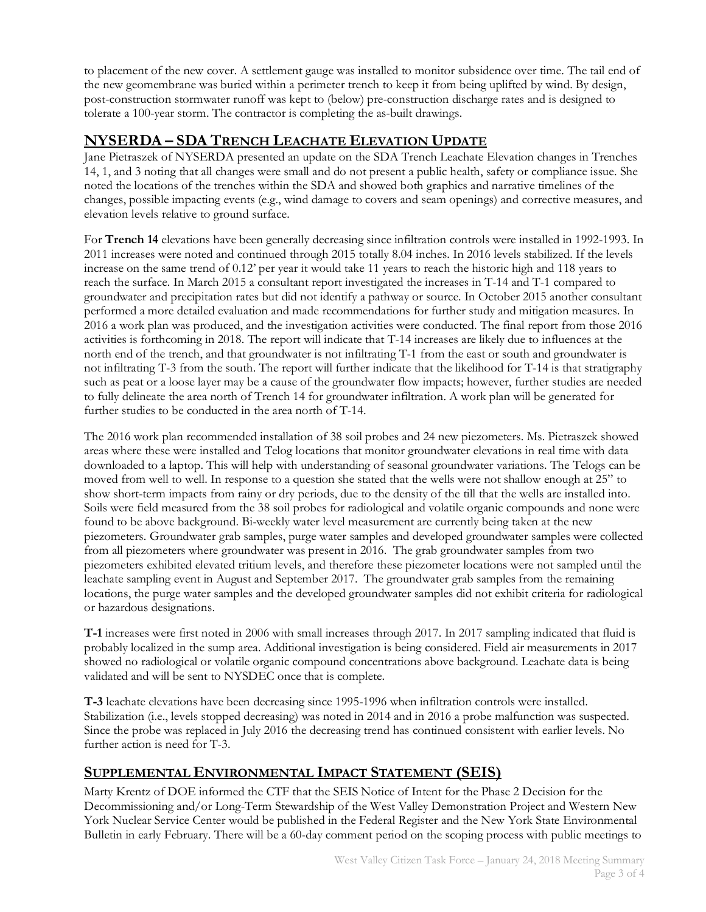to placement of the new cover. A settlement gauge was installed to monitor subsidence over time. The tail end of the new geomembrane was buried within a perimeter trench to keep it from being uplifted by wind. By design, post-construction stormwater runoff was kept to (below) pre-construction discharge rates and is designed to tolerate a 100-year storm. The contractor is completing the as-built drawings.

## **NYSERDA – SDA TRENCH LEACHATE ELEVATION UPDATE**

Jane Pietraszek of NYSERDA presented an update on the SDA Trench Leachate Elevation changes in Trenches 14, 1, and 3 noting that all changes were small and do not present a public health, safety or compliance issue. She noted the locations of the trenches within the SDA and showed both graphics and narrative timelines of the changes, possible impacting events (e.g., wind damage to covers and seam openings) and corrective measures, and elevation levels relative to ground surface.

For **Trench 14** elevations have been generally decreasing since infiltration controls were installed in 1992-1993. In 2011 increases were noted and continued through 2015 totally 8.04 inches. In 2016 levels stabilized. If the levels increase on the same trend of 0.12' per year it would take 11 years to reach the historic high and 118 years to reach the surface. In March 2015 a consultant report investigated the increases in T-14 and T-1 compared to groundwater and precipitation rates but did not identify a pathway or source. In October 2015 another consultant performed a more detailed evaluation and made recommendations for further study and mitigation measures. In 2016 a work plan was produced, and the investigation activities were conducted. The final report from those 2016 activities is forthcoming in 2018. The report will indicate that T-14 increases are likely due to influences at the north end of the trench, and that groundwater is not infiltrating T-1 from the east or south and groundwater is not infiltrating T-3 from the south. The report will further indicate that the likelihood for T-14 is that stratigraphy such as peat or a loose layer may be a cause of the groundwater flow impacts; however, further studies are needed to fully delineate the area north of Trench 14 for groundwater infiltration. A work plan will be generated for further studies to be conducted in the area north of T-14.

The 2016 work plan recommended installation of 38 soil probes and 24 new piezometers. Ms. Pietraszek showed areas where these were installed and Telog locations that monitor groundwater elevations in real time with data downloaded to a laptop. This will help with understanding of seasonal groundwater variations. The Telogs can be moved from well to well. In response to a question she stated that the wells were not shallow enough at 25" to show short-term impacts from rainy or dry periods, due to the density of the till that the wells are installed into. Soils were field measured from the 38 soil probes for radiological and volatile organic compounds and none were found to be above background. Bi-weekly water level measurement are currently being taken at the new piezometers. Groundwater grab samples, purge water samples and developed groundwater samples were collected from all piezometers where groundwater was present in 2016. The grab groundwater samples from two piezometers exhibited elevated tritium levels, and therefore these piezometer locations were not sampled until the leachate sampling event in August and September 2017. The groundwater grab samples from the remaining locations, the purge water samples and the developed groundwater samples did not exhibit criteria for radiological or hazardous designations.

**T-1** increases were first noted in 2006 with small increases through 2017. In 2017 sampling indicated that fluid is probably localized in the sump area. Additional investigation is being considered. Field air measurements in 2017 showed no radiological or volatile organic compound concentrations above background. Leachate data is being validated and will be sent to NYSDEC once that is complete.

**T-3** leachate elevations have been decreasing since 1995-1996 when infiltration controls were installed. Stabilization (i.e., levels stopped decreasing) was noted in 2014 and in 2016 a probe malfunction was suspected. Since the probe was replaced in July 2016 the decreasing trend has continued consistent with earlier levels. No further action is need for T-3.

## **SUPPLEMENTAL ENVIRONMENTAL IMPACT STATEMENT (SEIS)**

Marty Krentz of DOE informed the CTF that the SEIS Notice of Intent for the Phase 2 Decision for the Decommissioning and/or Long-Term Stewardship of the West Valley Demonstration Project and Western New York Nuclear Service Center would be published in the Federal Register and the New York State Environmental Bulletin in early February. There will be a 60-day comment period on the scoping process with public meetings to